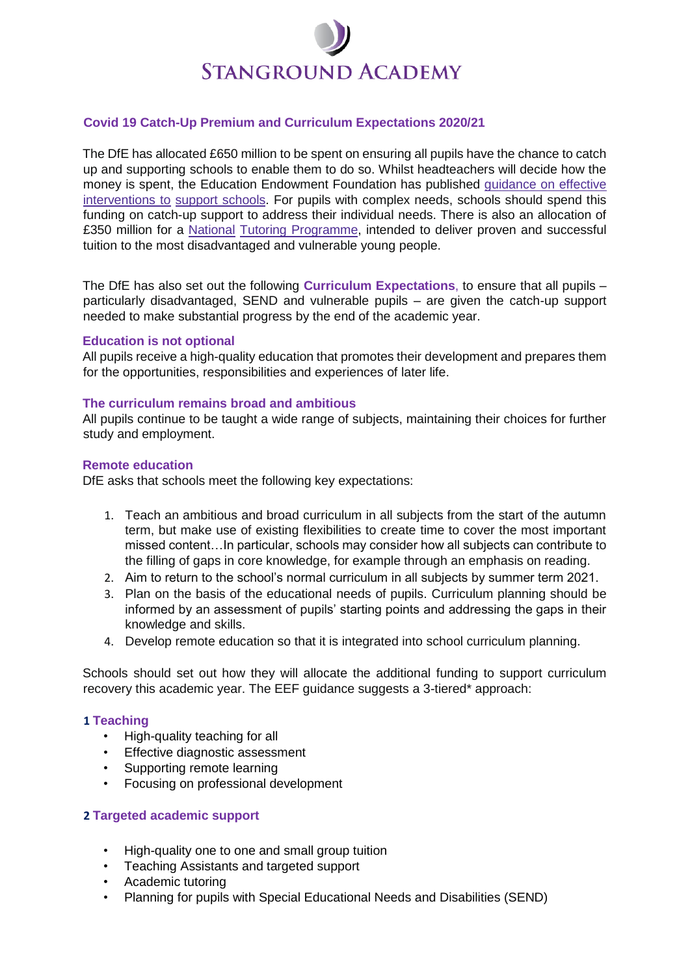# **STANGROUND ACADEMY**

# **Covid 19 Catch-Up Premium and Curriculum Expectations 2020/21**

The DfE has allocated £650 million to be spent on ensuring all pupils have the chance to catch up and supporting schools to enable them to do so. Whilst headteachers will decide how the money is spent, the Education Endowment Foundation has publishe[d](https://educationendowmentfoundation.org.uk/covid-19-resources/covid-19-support-guide-for-schools/) [guidance](https://educationendowmentfoundation.org.uk/covid-19-resources/covid-19-support-guide-for-schools/) [on](https://educationendowmentfoundation.org.uk/covid-19-resources/covid-19-support-guide-for-schools/) [effective](https://educationendowmentfoundation.org.uk/covid-19-resources/covid-19-support-guide-for-schools/) [interventions](https://educationendowmentfoundation.org.uk/covid-19-resources/covid-19-support-guide-for-schools/) [to](https://educationendowmentfoundation.org.uk/covid-19-resources/covid-19-support-guide-for-schools/) [support](https://educationendowmentfoundation.org.uk/covid-19-resources/covid-19-support-guide-for-schools/) [schools.](https://educationendowmentfoundation.org.uk/covid-19-resources/covid-19-support-guide-for-schools/) For pupils with complex needs, schools should spend this funding on catch-up support to address their individual needs. There is also an allocation of £350 million for [a](https://educationendowmentfoundation.org.uk/covid-19-resources/national-tutoring-programme/) [National](https://educationendowmentfoundation.org.uk/covid-19-resources/national-tutoring-programme/) [Tutoring](https://educationendowmentfoundation.org.uk/covid-19-resources/national-tutoring-programme/) [Programme,](https://educationendowmentfoundation.org.uk/covid-19-resources/national-tutoring-programme/) intended to deliver proven and successful tuition to the most disadvantaged and vulnerable young people.

The DfE has also set out the following **Curriculum Expectations**, to ensure that all pupils – particularly disadvantaged, SEND and vulnerable pupils – are given the catch-up support needed to make substantial progress by the end of the academic year.

#### **Education is not optional**

All pupils receive a high-quality education that promotes their development and prepares them for the opportunities, responsibilities and experiences of later life.

#### **The curriculum remains broad and ambitious**

All pupils continue to be taught a wide range of subjects, maintaining their choices for further study and employment.

#### **Remote education**

DfE asks that schools meet the following key expectations:

- 1. Teach an ambitious and broad curriculum in all subjects from the start of the autumn term, but make use of existing flexibilities to create time to cover the most important missed content…In particular, schools may consider how all subjects can contribute to the filling of gaps in core knowledge, for example through an emphasis on reading.
- 2. Aim to return to the school's normal curriculum in all subjects by summer term 2021.
- 3. Plan on the basis of the educational needs of pupils. Curriculum planning should be informed by an assessment of pupils' starting points and addressing the gaps in their knowledge and skills.
- 4. Develop remote education so that it is integrated into school curriculum planning.

Schools should set out how they will allocate the additional funding to support curriculum recovery this academic year. The EEF guidance suggests a 3-tiered\* approach:

# **1 Teaching**

- High-quality teaching for all
- Effective diagnostic assessment
- Supporting remote learning
- Focusing on professional development

# **2 Targeted academic support**

- High-quality one to one and small group tuition
- Teaching Assistants and targeted support
- Academic tutoring
- Planning for pupils with Special Educational Needs and Disabilities (SEND)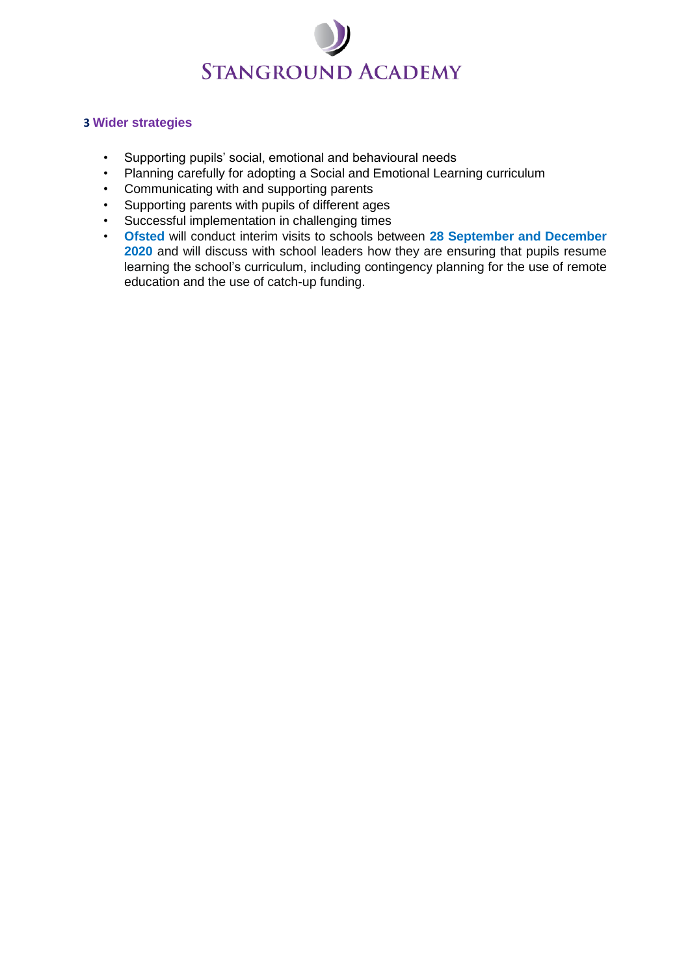

# **3 Wider strategies**

- Supporting pupils' social, emotional and behavioural needs
- Planning carefully for adopting a Social and Emotional Learning curriculum
- Communicating with and supporting parents
- Supporting parents with pupils of different ages
- Successful implementation in challenging times
- **Ofsted** will conduct interim visits to schools between **28 September and December 2020** and will discuss with school leaders how they are ensuring that pupils resume learning the school's curriculum, including contingency planning for the use of remote education and the use of catch-up funding.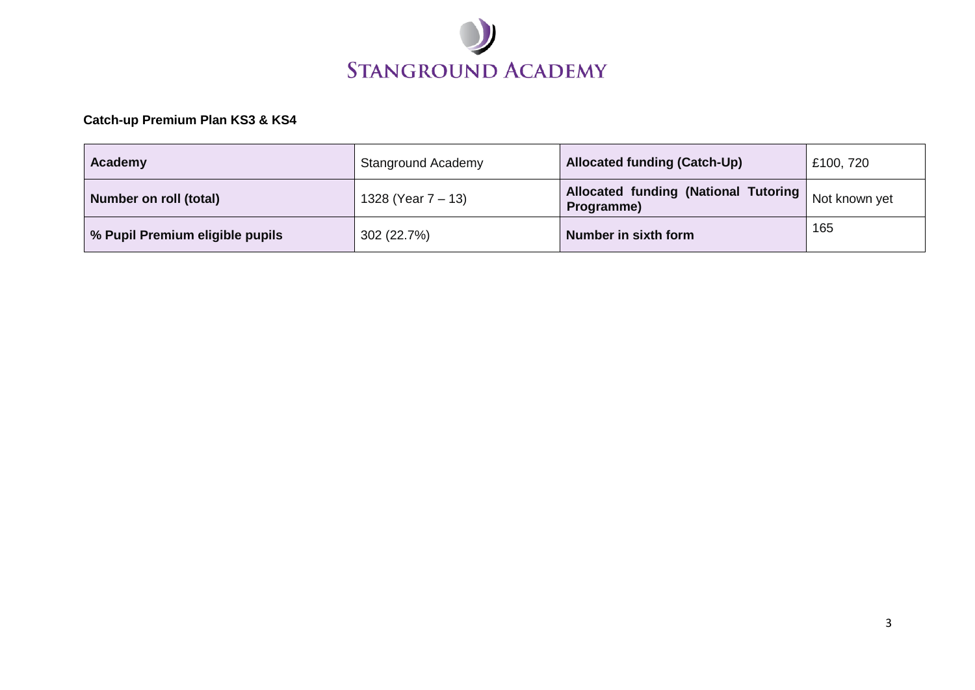

# **Catch-up Premium Plan KS3 & KS4**

| Academy                         | <b>Stanground Academy</b> | <b>Allocated funding (Catch-Up)</b>                       | £100, 720     |
|---------------------------------|---------------------------|-----------------------------------------------------------|---------------|
| Number on roll (total)          | 1328 (Year 7 – 13)        | <b>Allocated funding (National Tutoring</b><br>Programme) | Not known yet |
| % Pupil Premium eligible pupils | 302 (22.7%)               | Number in sixth form                                      | 165           |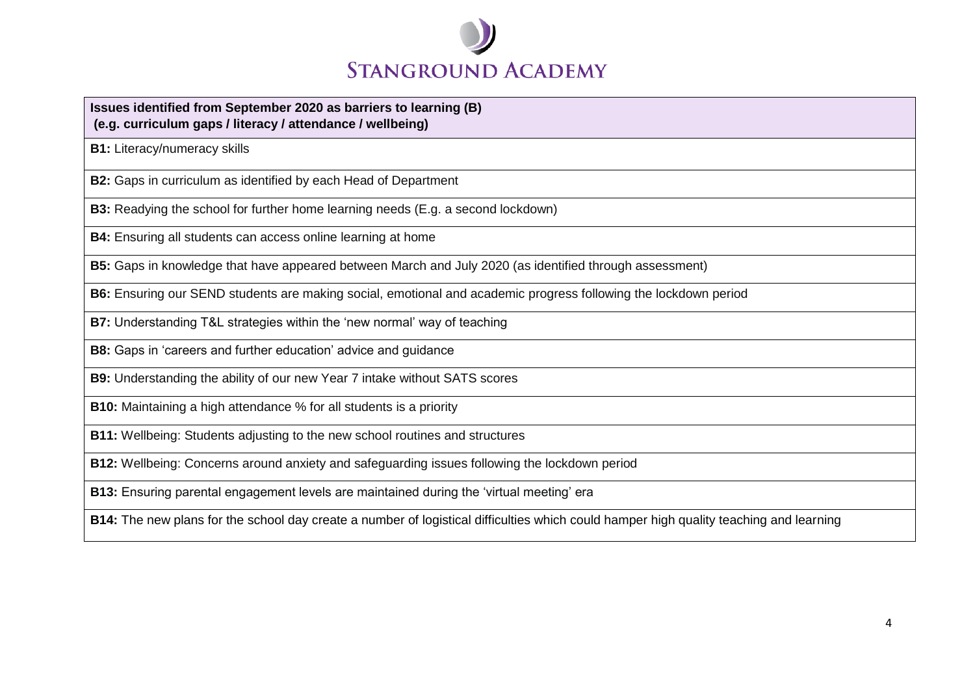

#### **Issues identified from September 2020 as barriers to learning (B) (e.g. curriculum gaps / literacy / attendance / wellbeing)**

**B1:** Literacy/numeracy skills

**B2:** Gaps in curriculum as identified by each Head of Department

**B3:** Readying the school for further home learning needs (E.g. a second lockdown)

**B4:** Ensuring all students can access online learning at home

**B5:** Gaps in knowledge that have appeared between March and July 2020 (as identified through assessment)

**B6:** Ensuring our SEND students are making social, emotional and academic progress following the lockdown period

**B7:** Understanding T&L strategies within the 'new normal' way of teaching

**B8:** Gaps in 'careers and further education' advice and guidance

**B9:** Understanding the ability of our new Year 7 intake without SATS scores

**B10:** Maintaining a high attendance % for all students is a priority

**B11:** Wellbeing: Students adjusting to the new school routines and structures

**B12:** Wellbeing: Concerns around anxiety and safeguarding issues following the lockdown period

**B13:** Ensuring parental engagement levels are maintained during the 'virtual meeting' era

**B14:** The new plans for the school day create a number of logistical difficulties which could hamper high quality teaching and learning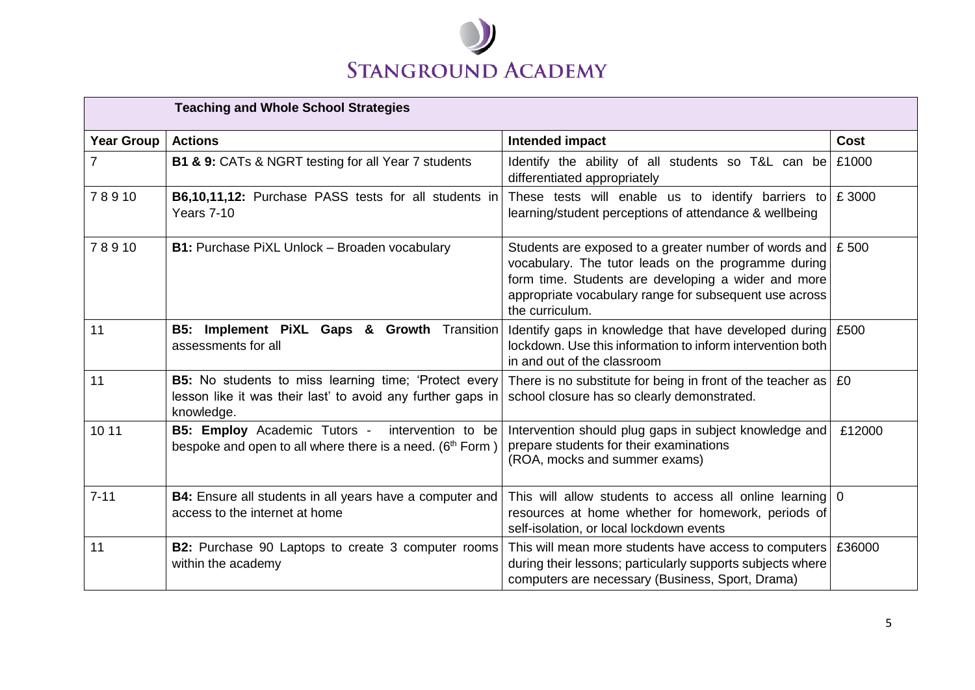

| <b>Teaching and Whole School Strategies</b> |                                                                                                                                    |                                                                                                                                                                                                                                                            |        |
|---------------------------------------------|------------------------------------------------------------------------------------------------------------------------------------|------------------------------------------------------------------------------------------------------------------------------------------------------------------------------------------------------------------------------------------------------------|--------|
| <b>Year Group</b>                           | <b>Actions</b>                                                                                                                     | Intended impact                                                                                                                                                                                                                                            | Cost   |
| $\overline{7}$                              | <b>B1 &amp; 9: CATs &amp; NGRT testing for all Year 7 students</b>                                                                 | Identify the ability of all students so T&L can be<br>differentiated appropriately                                                                                                                                                                         | £1000  |
| 78910                                       | B6,10,11,12: Purchase PASS tests for all students in<br>Years 7-10                                                                 | These tests will enable us to identify barriers to<br>learning/student perceptions of attendance & wellbeing                                                                                                                                               | £3000  |
| 78910                                       | <b>B1:</b> Purchase PiXL Unlock - Broaden vocabulary                                                                               | Students are exposed to a greater number of words and $\pm$ 500<br>vocabulary. The tutor leads on the programme during<br>form time. Students are developing a wider and more<br>appropriate vocabulary range for subsequent use across<br>the curriculum. |        |
| 11                                          | B5: Implement PiXL Gaps & Growth Transition<br>assessments for all                                                                 | Identify gaps in knowledge that have developed during<br>lockdown. Use this information to inform intervention both<br>in and out of the classroom                                                                                                         | £500   |
| 11                                          | B5: No students to miss learning time; 'Protect every<br>lesson like it was their last' to avoid any further gaps in<br>knowledge. | There is no substitute for being in front of the teacher as $ $ £0<br>school closure has so clearly demonstrated.                                                                                                                                          |        |
| 10 11                                       | <b>B5: Employ</b> Academic Tutors - intervention to be<br>bespoke and open to all where there is a need. (6 <sup>th</sup> Form)    | Intervention should plug gaps in subject knowledge and<br>prepare students for their examinations<br>(ROA, mocks and summer exams)                                                                                                                         | £12000 |
| $7 - 11$                                    | <b>B4:</b> Ensure all students in all years have a computer and<br>access to the internet at home                                  | This will allow students to access all online learning 0<br>resources at home whether for homework, periods of<br>self-isolation, or local lockdown events                                                                                                 |        |
| 11                                          | <b>B2:</b> Purchase 90 Laptops to create 3 computer rooms<br>within the academy                                                    | This will mean more students have access to computers<br>during their lessons; particularly supports subjects where<br>computers are necessary (Business, Sport, Drama)                                                                                    | £36000 |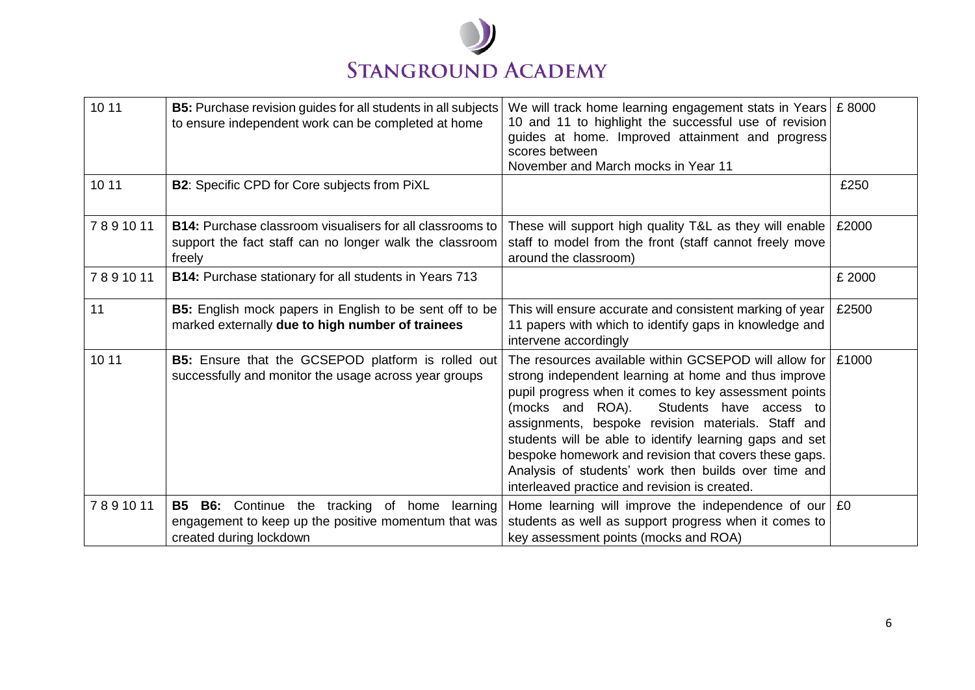

| 10 11   | <b>B5:</b> Purchase revision guides for all students in all subjects<br>to ensure independent work can be completed at home                          | We will track home learning engagement stats in Years $\, \mathsf{E} \,$ 8000<br>10 and 11 to highlight the successful use of revision<br>guides at home. Improved attainment and progress<br>scores between<br>November and March mocks in Year 11                                                                                                                                                                                                                                                      |        |
|---------|------------------------------------------------------------------------------------------------------------------------------------------------------|----------------------------------------------------------------------------------------------------------------------------------------------------------------------------------------------------------------------------------------------------------------------------------------------------------------------------------------------------------------------------------------------------------------------------------------------------------------------------------------------------------|--------|
| 10 11   | B2: Specific CPD for Core subjects from PiXL                                                                                                         |                                                                                                                                                                                                                                                                                                                                                                                                                                                                                                          | £250   |
| 7891011 | <b>B14:</b> Purchase classroom visualisers for all classrooms to<br>support the fact staff can no longer walk the classroom<br>freely                | These will support high quality T&L as they will enable<br>staff to model from the front (staff cannot freely move<br>around the classroom)                                                                                                                                                                                                                                                                                                                                                              | £2000  |
| 7891011 | <b>B14:</b> Purchase stationary for all students in Years 713                                                                                        |                                                                                                                                                                                                                                                                                                                                                                                                                                                                                                          | £ 2000 |
| 11      | <b>B5:</b> English mock papers in English to be sent off to be<br>marked externally due to high number of trainees                                   | This will ensure accurate and consistent marking of year<br>11 papers with which to identify gaps in knowledge and<br>intervene accordingly                                                                                                                                                                                                                                                                                                                                                              | £2500  |
| 10 11   | B5: Ensure that the GCSEPOD platform is rolled out<br>successfully and monitor the usage across year groups                                          | The resources available within GCSEPOD will allow for<br>strong independent learning at home and thus improve<br>pupil progress when it comes to key assessment points<br>(mocks and ROA).<br>Students have access to<br>assignments, bespoke revision materials. Staff and<br>students will be able to identify learning gaps and set<br>bespoke homework and revision that covers these gaps.<br>Analysis of students' work then builds over time and<br>interleaved practice and revision is created. | £1000  |
| 7891011 | <b>B5</b><br><b>B6:</b> Continue the tracking of home<br>learning<br>engagement to keep up the positive momentum that was<br>created during lockdown | Home learning will improve the independence of our $\mid$ £0<br>students as well as support progress when it comes to<br>key assessment points (mocks and ROA)                                                                                                                                                                                                                                                                                                                                           |        |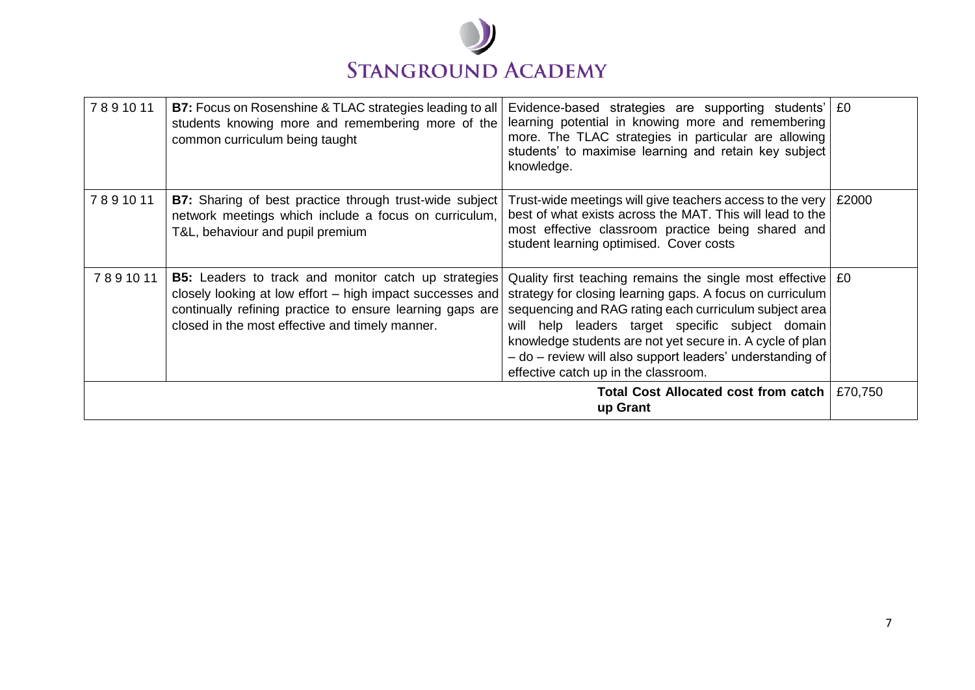

| 7891011                                            | <b>B7:</b> Focus on Rosenshine & TLAC strategies leading to all<br>students knowing more and remembering more of the<br>common curriculum being taught                                                                                   | Evidence-based strategies are supporting students' E0<br>learning potential in knowing more and remembering<br>more. The TLAC strategies in particular are allowing<br>students' to maximise learning and retain key subject<br>knowledge.                                                                                                                                                                      |         |
|----------------------------------------------------|------------------------------------------------------------------------------------------------------------------------------------------------------------------------------------------------------------------------------------------|-----------------------------------------------------------------------------------------------------------------------------------------------------------------------------------------------------------------------------------------------------------------------------------------------------------------------------------------------------------------------------------------------------------------|---------|
| 7891011                                            | B7: Sharing of best practice through trust-wide subject<br>network meetings which include a focus on curriculum,<br>T&L, behaviour and pupil premium                                                                                     | Trust-wide meetings will give teachers access to the very<br>best of what exists across the MAT. This will lead to the<br>most effective classroom practice being shared and<br>student learning optimised. Cover costs                                                                                                                                                                                         | £2000   |
| 7891011                                            | <b>B5:</b> Leaders to track and monitor catch up strategies<br>closely looking at low effort – high impact successes and<br>continually refining practice to ensure learning gaps are<br>closed in the most effective and timely manner. | Quality first teaching remains the single most effective $\mid$ £0<br>strategy for closing learning gaps. A focus on curriculum<br>sequencing and RAG rating each curriculum subject area<br>will help leaders target specific subject domain<br>knowledge students are not yet secure in. A cycle of plan<br>- do - review will also support leaders' understanding of<br>effective catch up in the classroom. |         |
| Total Cost Allocated cost from catch  <br>up Grant |                                                                                                                                                                                                                                          |                                                                                                                                                                                                                                                                                                                                                                                                                 | £70,750 |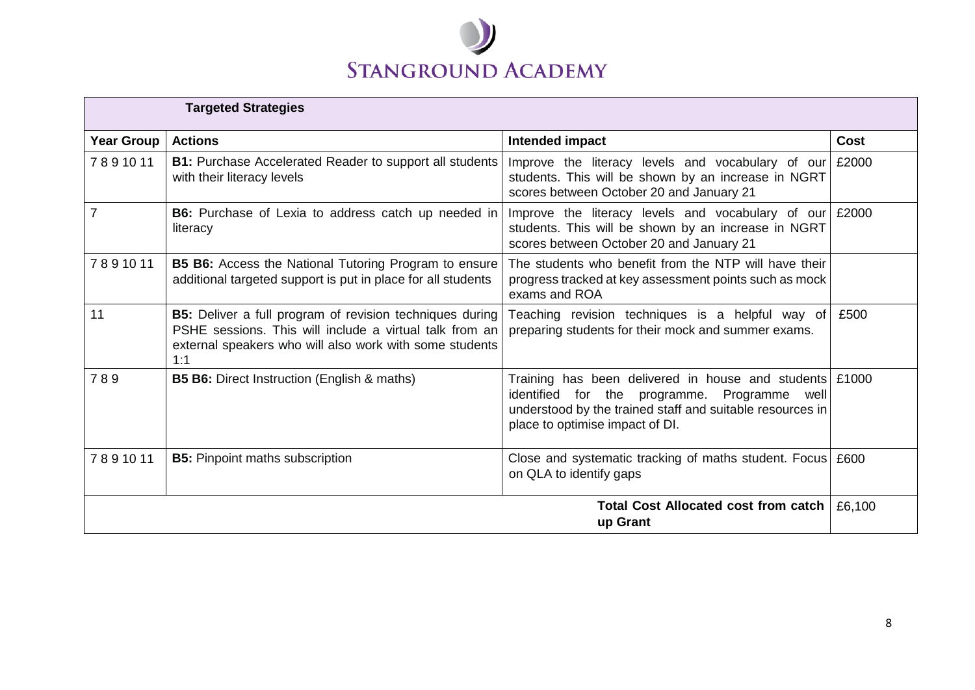

| <b>Targeted Strategies</b>                              |                                                                                                                                                                                              |                                                                                                                                                                                                         |             |
|---------------------------------------------------------|----------------------------------------------------------------------------------------------------------------------------------------------------------------------------------------------|---------------------------------------------------------------------------------------------------------------------------------------------------------------------------------------------------------|-------------|
| <b>Year Group</b>                                       | <b>Actions</b>                                                                                                                                                                               | Intended impact                                                                                                                                                                                         | <b>Cost</b> |
| 7891011                                                 | <b>B1:</b> Purchase Accelerated Reader to support all students<br>with their literacy levels                                                                                                 | Improve the literacy levels and vocabulary of our<br>students. This will be shown by an increase in NGRT<br>scores between October 20 and January 21                                                    | £2000       |
| 7                                                       | B6: Purchase of Lexia to address catch up needed in<br>literacy                                                                                                                              | Improve the literacy levels and vocabulary of our<br>students. This will be shown by an increase in NGRT<br>scores between October 20 and January 21                                                    | £2000       |
| 7891011                                                 | <b>B5 B6:</b> Access the National Tutoring Program to ensure<br>additional targeted support is put in place for all students                                                                 | The students who benefit from the NTP will have their<br>progress tracked at key assessment points such as mock<br>exams and ROA                                                                        |             |
| 11                                                      | <b>B5:</b> Deliver a full program of revision techniques during<br>PSHE sessions. This will include a virtual talk from an<br>external speakers who will also work with some students<br>1:1 | Teaching revision techniques is a helpful way of<br>preparing students for their mock and summer exams.                                                                                                 | £500        |
| 789                                                     | <b>B5 B6:</b> Direct Instruction (English & maths)                                                                                                                                           | Training has been delivered in house and students £1000<br>identified for the programme. Programme well<br>understood by the trained staff and suitable resources in<br>place to optimise impact of DI. |             |
| 7891011                                                 | <b>B5:</b> Pinpoint maths subscription                                                                                                                                                       | Close and systematic tracking of maths student. Focus<br>on QLA to identify gaps                                                                                                                        | £600        |
| <b>Total Cost Allocated cost from catch</b><br>up Grant |                                                                                                                                                                                              | £6,100                                                                                                                                                                                                  |             |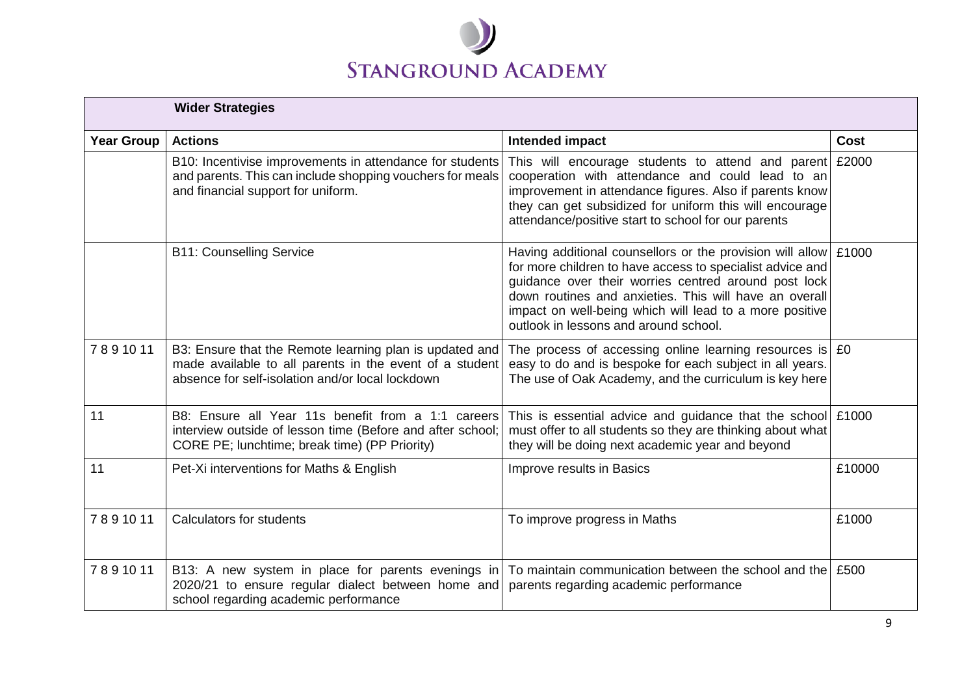

| <b>Wider Strategies</b> |                                                                                                                                                                        |                                                                                                                                                                                                                                                                                                                                                         |             |
|-------------------------|------------------------------------------------------------------------------------------------------------------------------------------------------------------------|---------------------------------------------------------------------------------------------------------------------------------------------------------------------------------------------------------------------------------------------------------------------------------------------------------------------------------------------------------|-------------|
| <b>Year Group</b>       | <b>Actions</b>                                                                                                                                                         | Intended impact                                                                                                                                                                                                                                                                                                                                         | <b>Cost</b> |
|                         | B10: Incentivise improvements in attendance for students<br>and parents. This can include shopping vouchers for meals<br>and financial support for uniform.            | This will encourage students to attend and parent £2000<br>cooperation with attendance and could lead to an<br>improvement in attendance figures. Also if parents know<br>they can get subsidized for uniform this will encourage<br>attendance/positive start to school for our parents                                                                |             |
|                         | <b>B11: Counselling Service</b>                                                                                                                                        | Having additional counsellors or the provision will allow $\pm 1000$<br>for more children to have access to specialist advice and<br>guidance over their worries centred around post lock<br>down routines and anxieties. This will have an overall<br>impact on well-being which will lead to a more positive<br>outlook in lessons and around school. |             |
| 7891011                 | B3: Ensure that the Remote learning plan is updated and<br>made available to all parents in the event of a student<br>absence for self-isolation and/or local lockdown | The process of accessing online learning resources is $ E0\rangle$<br>easy to do and is bespoke for each subject in all years.<br>The use of Oak Academy, and the curriculum is key here                                                                                                                                                                |             |
| 11                      | B8: Ensure all Year 11s benefit from a 1:1 careers<br>interview outside of lesson time (Before and after school;<br>CORE PE; lunchtime; break time) (PP Priority)      | This is essential advice and guidance that the school £1000<br>must offer to all students so they are thinking about what<br>they will be doing next academic year and beyond                                                                                                                                                                           |             |
| 11                      | Pet-Xi interventions for Maths & English                                                                                                                               | Improve results in Basics                                                                                                                                                                                                                                                                                                                               | £10000      |
| 7891011                 | Calculators for students                                                                                                                                               | To improve progress in Maths                                                                                                                                                                                                                                                                                                                            | £1000       |
| 7891011                 | B13: A new system in place for parents evenings in<br>2020/21 to ensure regular dialect between home and<br>school regarding academic performance                      | To maintain communication between the school and the E500<br>parents regarding academic performance                                                                                                                                                                                                                                                     |             |